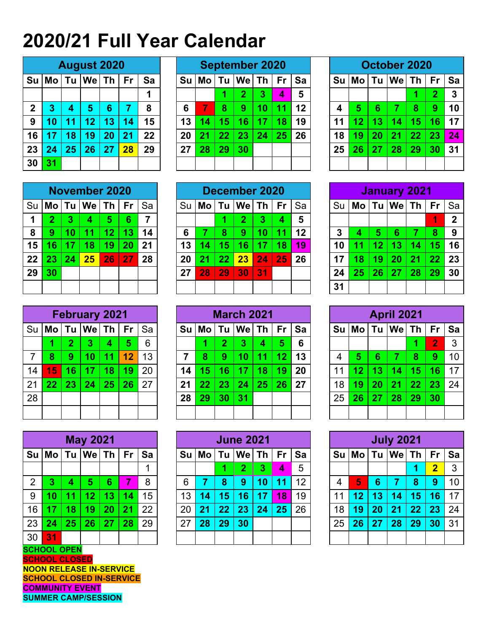## **2020/21 Full Year Calendar**

|              | <b>August 2020</b>  |    |                |    |    |    |  |  |  |  |  |  |  |  |
|--------------|---------------------|----|----------------|----|----|----|--|--|--|--|--|--|--|--|
| Su           | Mo Tu We Th<br>l Fr |    |                |    |    |    |  |  |  |  |  |  |  |  |
|              |                     |    |                |    |    | 1  |  |  |  |  |  |  |  |  |
| $\mathbf{2}$ | 3                   | 4  | $5\phantom{1}$ | 6  | 7  | 8  |  |  |  |  |  |  |  |  |
| 9            | 10                  | 11 | 12             | 13 | 14 | 15 |  |  |  |  |  |  |  |  |
| 16           | 17                  | 18 | 19             | 20 | 21 | 22 |  |  |  |  |  |  |  |  |
| 23           | 24                  | 25 | 26             | 27 | 28 | 29 |  |  |  |  |  |  |  |  |
| 30           | 31                  |    |                |    |    |    |  |  |  |  |  |  |  |  |

|              |                 |    | <b>August 2020</b> |    |           |    |  |    | <b>September 2020</b> |    |     |           |           |    |  |    |      |    | October 2020 |    |                |           |
|--------------|-----------------|----|--------------------|----|-----------|----|--|----|-----------------------|----|-----|-----------|-----------|----|--|----|------|----|--------------|----|----------------|-----------|
| Su İ         | Mo              | Tu | We                 | Th | <b>Fr</b> | Sa |  | Su | Mo                    | Tu | Wel | Th        | <b>Fr</b> | Sa |  | Su | l Mo | Tu | Wel          | Th | <b>Fr</b>      | <b>Sa</b> |
|              |                 |    |                    |    |           | 4  |  |    |                       | 1  | 2   | 3         | 4         | 5  |  |    |      |    |              |    | $\overline{2}$ | -3        |
| $\mathbf{2}$ | 3               |    | 5                  | 6  |           | 8  |  | 6  | -7                    | 8  | 9   | 10        | -11       | 12 |  | 4  | 5    | 6  |              | 8  | 9              | 10        |
| 9            | 10              | 11 | $\overline{12}$    | 13 | 14        | 15 |  | 13 | $\overline{14}$       | 15 | 16  | <b>47</b> | 18        | 19 |  | 11 | 12   | 13 | 14           | 15 | 16             | 17        |
| 16           | $\overline{17}$ | l8 | 19                 | 20 | 21        | 22 |  | 20 | 2 <sub>1</sub>        | 22 | 23  | 24        | 25        | 26 |  | 18 | 19   | 20 | 21           | 22 | 23             | 24        |
| 23           | 24              | 25 | 26                 | 27 | 28        | 29 |  | 27 | 28                    | 29 | 30  |           |           |    |  | 25 | 26   | 27 | 28           | 29 | 30             | -31       |
| 30           | 31              |    |                    |    |           |    |  |    |                       |    |     |           |           |    |  |    |      |    |              |    |                |           |

| October 2020 |    |    |                 |    |           |    |  |  |  |  |  |  |  |
|--------------|----|----|-----------------|----|-----------|----|--|--|--|--|--|--|--|
| Su           |    |    | $Mo$ Tu $We$ Th |    | <b>Fr</b> | Sa |  |  |  |  |  |  |  |
|              |    | 3  |                 |    |           |    |  |  |  |  |  |  |  |
| 4            | 5  | 6  | 7               | 8  | 9         | 10 |  |  |  |  |  |  |  |
| 11           | 12 | 13 | 14              | 15 | 16        | 17 |  |  |  |  |  |  |  |
| 18           | 19 | 20 | 21              | 22 | 23        | 24 |  |  |  |  |  |  |  |
| 25           | 26 | 27 | 28              | 29 | 30        | 31 |  |  |  |  |  |  |  |
|              |    |    |                 |    |           |    |  |  |  |  |  |  |  |

|      | <b>November 2020</b>      |                                      |    |    |    |    |  |  |  |  |  |  |  |  |  |
|------|---------------------------|--------------------------------------|----|----|----|----|--|--|--|--|--|--|--|--|--|
| l Su |                           | Mo   Tu   We   Th<br>Sa<br><b>Fr</b> |    |    |    |    |  |  |  |  |  |  |  |  |  |
| 1    | $\overline{2}$            | 3                                    | 4  | 5  | 6  | 7  |  |  |  |  |  |  |  |  |  |
| 8    | 9<br>11<br>12<br>13<br>10 |                                      |    |    |    |    |  |  |  |  |  |  |  |  |  |
| 15   | 16                        | 17                                   | 18 | 19 | 20 | 21 |  |  |  |  |  |  |  |  |  |
| 22   | 23                        | 24                                   | 25 | 26 | 27 | 28 |  |  |  |  |  |  |  |  |  |
| 29   | 30                        |                                      |    |    |    |    |  |  |  |  |  |  |  |  |  |
|      |                           |                                      |    |    |    |    |  |  |  |  |  |  |  |  |  |

| <b>February 2021</b> |             |                |    |    |    |    |  |  |  |  |  |  |
|----------------------|-------------|----------------|----|----|----|----|--|--|--|--|--|--|
| Su                   | Mo Tu We Th | Fr             | Sa |    |    |    |  |  |  |  |  |  |
|                      | 1           | $\overline{2}$ | 3  | 4  | 5  | 6  |  |  |  |  |  |  |
| $\overline{7}$       | 8           | 9              | 10 | 11 | 12 | 13 |  |  |  |  |  |  |
| 14                   | 15          | 16             | 17 | 18 | 19 | 20 |  |  |  |  |  |  |
| 21                   | 22          | 23             | 24 | 25 | 26 | 27 |  |  |  |  |  |  |
| 28                   |             |                |    |    |    |    |  |  |  |  |  |  |
|                      |             |                |    |    |    |    |  |  |  |  |  |  |

| <b>May 2021</b> |    |                                                |    |    |    |    |  |  |  |  |  |  |  |  |  |
|-----------------|----|------------------------------------------------|----|----|----|----|--|--|--|--|--|--|--|--|--|
| <b>Su</b>       |    | $Tu$ $We$ $Th$<br><b>Mo</b><br><b>Fr</b><br>Sa |    |    |    |    |  |  |  |  |  |  |  |  |  |
|                 |    |                                                |    |    |    |    |  |  |  |  |  |  |  |  |  |
| 2               | 3  | 4                                              | 5  | 6  | 7  | 8  |  |  |  |  |  |  |  |  |  |
| 9               | 10 | 11                                             | 12 | 13 | 14 | 15 |  |  |  |  |  |  |  |  |  |
| 16              | 17 | 18                                             | 19 | 20 | 21 | 22 |  |  |  |  |  |  |  |  |  |
| 23              | 24 | 25                                             | 26 | 27 | 28 | 29 |  |  |  |  |  |  |  |  |  |
| 30              | 31 |                                                |    |    |    |    |  |  |  |  |  |  |  |  |  |

**SCHOOL OPEN SCHOOL CLOSED NOON RELEASE IN-SERVICE SCHOOL CLOSED IN-SERVICE COMMUNITY EVENT SUMMER CAMP/SESSION**

|                 | <b>November 2020</b><br>Su   <b>Mo   Tu   We   Th  </b> |    |    |     |           |                |    |           |      | December 2020 |                 |                 |    |      |               |           | January 2021    |     |           |     |
|-----------------|---------------------------------------------------------|----|----|-----|-----------|----------------|----|-----------|------|---------------|-----------------|-----------------|----|------|---------------|-----------|-----------------|-----|-----------|-----|
|                 |                                                         |    |    |     | <b>Fr</b> | Sa             | Su | <b>Mo</b> | Tu l | ∣We⊺Th        |                 | <b>Fr</b>       | Sa | Su l | │Mo│Tu│We│Th│ |           |                 |     | <b>Fr</b> | ∣Sa |
|                 | 2                                                       |    | 4  | 5   | 6         | $\overline{7}$ |    |           |      | 2             | 3               | 4               | 5  |      |               |           |                 |     | 4         | 2   |
| 8               | 9                                                       |    | 11 | 12  | 13        | 14             | 6  |           | 8    | 9             | 10 <sub>l</sub> |                 | 12 | 3    |               | 5         | 6               |     | 8         | 9   |
| 15 <sub>1</sub> | 16                                                      |    | 18 | 19  | 20        | 21             | 13 | 14        | 15   | 16            | $\overline{17}$ | $\overline{18}$ | 19 | 10   |               | <b>12</b> | <b>13.</b>      | -14 | 15        | 16  |
| 22              | 23                                                      | 24 | 25 | 26' | 27        | 28             | 20 | 21        | 22   | 23            | 24              | 25              | 26 | 17   | 18            | 19        | 20 <sub>1</sub> | 21  | 22        | 23  |
| 29              | 30                                                      |    |    |     |           |                | 27 | 28        | 29   | 30            | 31              |                 |    | 24   | 25            | 26        | 27              | 28  | 29        | 30  |
|                 |                                                         |    |    |     |           |                |    |           |      |               |                 |                 |    | 31   |               |           |                 |     |           |     |

|    | <b>February 2021</b><br>Su <b>Mo</b><br>$We$ Th |    |    |    |                 |    |    |         |      | <b>March 2021</b> |     |                 |    |    |         |    | <b>April 2021</b> |    |                |  |
|----|-------------------------------------------------|----|----|----|-----------------|----|----|---------|------|-------------------|-----|-----------------|----|----|---------|----|-------------------|----|----------------|--|
|    |                                                 | Tu |    |    | <b>Fr</b>       | Sa |    | $Su$ Mo | Tu l | $We$ Th           |     | ⊪ Fr            | Sa |    | $Su$ Mo |    | $Tu$   We   Th    |    | Fr Sa          |  |
|    |                                                 | 2  | 3  | 4  | 5               | 6  |    |         | 2.   | 3                 | 4   | 5               | 6  |    |         |    |                   |    | $\overline{2}$ |  |
|    | 8                                               | 9  | 10 | 11 | $\overline{12}$ | 13 |    |         | 9    |                   | -11 | 12 <sub>2</sub> | 13 |    | 5       | 6  |                   | 8  | 9              |  |
| 14 | 15                                              | 16 | 17 | 18 | 19              | 20 | 14 | 15      | 16   |                   | 18  | 19              | 20 | 11 | 12      | 13 | 14 <sup>°</sup>   | 15 | 16             |  |
| 21 | 22                                              |    | 24 | 25 | 26              | 27 | 21 | 22      | 23   | 24                | 25  | 26              | 27 | 18 | 19      | 20 | 21                | 22 | 23             |  |
| 28 |                                                 |    |    |    |                 |    | 28 | 29      | 30   | 31                |     |                 |    | 25 | 26      | 27 | 28                | 29 | 30             |  |
|    |                                                 |    |    |    |                 |    |    |         |      |                   |     |                 |    |    |         |    |                   |    |                |  |

|                 |        |              | <b>May 2021</b> |    |           |    |    |                 |      | <b>June 2021</b> |    |              |    |    |         |    | <b>July 2021</b> |    |       |     |
|-----------------|--------|--------------|-----------------|----|-----------|----|----|-----------------|------|------------------|----|--------------|----|----|---------|----|------------------|----|-------|-----|
|                 | Su Mol | Tu           | We              | Th | <b>Fr</b> | Sa |    | $Su$ Mo         | Tu l | We Th            |    | $E$ Fr $\pm$ | Sa |    | $Su$ Mo |    | $Tu$   We   Th   |    | Fr Sa |     |
|                 |        |              |                 |    |           |    |    |                 |      | 2                | 3  | 4            | 5  |    |         |    |                  |    | 2     | 3   |
| 2               | 3      |              | 5               | 6  |           | 8  | 6  |                 | 8    | 9                | 10 | 1            | 12 | 4  | 5       | 6  |                  | 8  | 9     | 10  |
| 9               |        |              | 12              | 13 | 14        | 15 | 13 | $\overline{14}$ | 15   | 16               | 17 | 18           | 19 | 11 | 12      | 13 | <b>14.</b>       | 15 | 16    | 17  |
| 16 <sup>°</sup> | 17     |              | 19              | 20 | 21        | 22 | 20 | 21              | 22   | 23               | 24 | 25           | 26 | 18 | 19      | 20 | 21               | 22 | 23    | -24 |
| 23              | 24     | $25^{\circ}$ | 26              | 27 | 28        | 29 | 27 | 28              | 29   | 30               |    |              |    | 25 | 26      | 27 | 28               | 29 | 30    | 31  |
| 30              | 31     |              |                 |    |           |    |    |                 |      |                  |    |              |    |    |         |    |                  |    |       |     |

| <b>January 2021</b> |    |    |                                   |    |    |              |  |  |  |  |  |  |  |
|---------------------|----|----|-----------------------------------|----|----|--------------|--|--|--|--|--|--|--|
| Su                  |    |    | $\textsf{Mo}$   Tu   We   Th   Fr |    |    | Sa           |  |  |  |  |  |  |  |
|                     |    |    |                                   |    | 1  | $\mathbf{2}$ |  |  |  |  |  |  |  |
| $\mathbf{3}$        | 4  | 8  | 9                                 |    |    |              |  |  |  |  |  |  |  |
| 10                  | 11 | 12 | 13                                | 14 | 15 | 16           |  |  |  |  |  |  |  |
| 17                  | 18 | 19 | 20                                | 21 | 22 | 23           |  |  |  |  |  |  |  |
| 24                  | 25 | 26 | 27                                | 28 | 29 | 30           |  |  |  |  |  |  |  |
| 31                  |    |    |                                   |    |    |              |  |  |  |  |  |  |  |

| <b>April 2021</b> |                         |    |    |    |                |    |  |  |  |  |  |  |  |  |
|-------------------|-------------------------|----|----|----|----------------|----|--|--|--|--|--|--|--|--|
| <b>Su</b>         | Mo Tu We Th<br>Fr<br>Sa |    |    |    |                |    |  |  |  |  |  |  |  |  |
|                   |                         |    |    | 1  | $\overline{2}$ | 3  |  |  |  |  |  |  |  |  |
| $\overline{4}$    | 5                       | 6  | 7  | 8  | 9              | 10 |  |  |  |  |  |  |  |  |
| 11                | 12                      | 13 | 14 | 15 | 16             | 17 |  |  |  |  |  |  |  |  |
| 18                | 19                      | 20 | 21 | 22 | 23             | 24 |  |  |  |  |  |  |  |  |
| 25                | 26                      | 27 | 28 | 29 | 30             |    |  |  |  |  |  |  |  |  |
|                   |                         |    |    |    |                |    |  |  |  |  |  |  |  |  |

| <b>July 2021</b> |                                           |    |    |    |    |    |  |  |  |  |  |  |  |  |
|------------------|-------------------------------------------|----|----|----|----|----|--|--|--|--|--|--|--|--|
| Su               | Mo   Tu   We   Th<br><b>Fr</b><br>Sa<br>3 |    |    |    |    |    |  |  |  |  |  |  |  |  |
|                  | $\overline{\mathbf{2}}$<br>1              |    |    |    |    |    |  |  |  |  |  |  |  |  |
| $\overline{4}$   | 5                                         | 6  | 7  | 8  | 9  | 10 |  |  |  |  |  |  |  |  |
| 11               | 12                                        | 13 | 14 | 15 | 16 | 17 |  |  |  |  |  |  |  |  |
| 18               | 19                                        | 20 | 21 | 22 | 23 | 24 |  |  |  |  |  |  |  |  |
| 25               | 26                                        | 27 | 28 | 29 | 30 | 31 |  |  |  |  |  |  |  |  |
|                  |                                           |    |    |    |    |    |  |  |  |  |  |  |  |  |